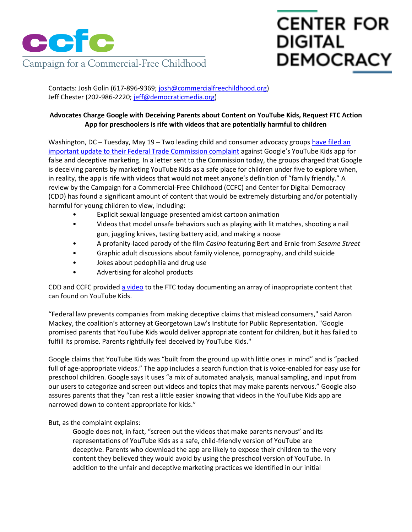

## **CENTER FOR DIGITAL DEMOCRACY**

Contacts: Josh Golin (617-896-9369[; josh@commercialfreechildhood.org\)](mailto:josh@commercialfreechildhood.org) Jeff Chester (202-986-2220; [jeff@democraticmedia.org\)](mailto:jeff@democraticmedia.org)

## **Advocates Charge Google with Deceiving Parents about Content on YouTube Kids, Request FTC Action App for preschoolers is rife with videos that are potentially harmful to children**

Washington, DC – Tuesday, May 19 – Two leading child and consumer advocacy group[s have filed an](http://www.commercialfreechildhood.org/youtubeletter)  [important update to their Federal Trade Commission complaint](http://www.commercialfreechildhood.org/youtubeletter) against Google's YouTube Kids app for false and deceptive marketing. In a letter sent to the Commission today, the groups charged that Google is deceiving parents by marketing YouTube Kids as a safe place for children under five to explore when, in reality, the app is rife with videos that would not meet anyone's definition of "family friendly." A review by the Campaign for a Commercial-Free Childhood (CCFC) and Center for Digital Democracy (CDD) has found a significant amount of content that would be extremely disturbing and/or potentially harmful for young children to view, including:

- Explicit sexual language presented amidst cartoon animation
- Videos that model unsafe behaviors such as playing with lit matches, shooting a nail gun, juggling knives, tasting battery acid, and making a noose
- A profanity-laced parody of the film *Casino* featuring Bert and Ernie from *Sesame Street*
- Graphic adult discussions about family violence, pornography, and child suicide
- Jokes about pedophilia and drug use
- Advertising for alcohol products

CDD and CCFC provided [a video](https://vimeo.com/127837914) to the FTC today documenting an array of inappropriate content that can found on YouTube Kids.

"Federal law prevents companies from making deceptive claims that mislead consumers," said Aaron Mackey, the coalition's attorney at Georgetown Law's Institute for Public Representation. "Google promised parents that YouTube Kids would deliver appropriate content for children, but it has failed to fulfill its promise. Parents rightfully feel deceived by YouTube Kids."

Google claims that YouTube Kids was "built from the ground up with little ones in mind" and is "packed full of age-appropriate videos." The app includes a search function that is voice-enabled for easy use for preschool children. Google says it uses "a mix of automated analysis, manual sampling, and input from our users to categorize and screen out videos and topics that may make parents nervous." Google also assures parents that they "can rest a little easier knowing that videos in the YouTube Kids app are narrowed down to content appropriate for kids."

But, as the complaint explains:

Google does not, in fact, "screen out the videos that make parents nervous" and its representations of YouTube Kids as a safe, child-friendly version of YouTube are deceptive. Parents who download the app are likely to expose their children to the very content they believed they would avoid by using the preschool version of YouTube. In addition to the unfair and deceptive marketing practices we identified in our initial